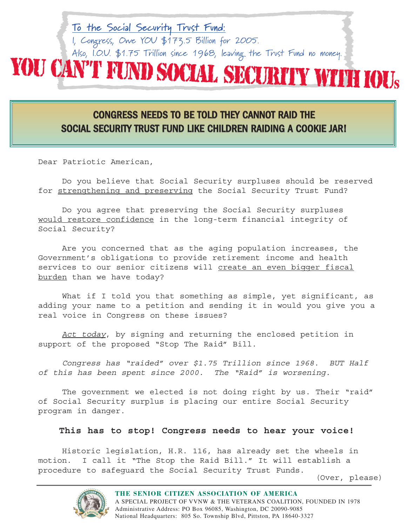# I, Congress, Owe YOU \$173.5 Billion for 2005. Also, I.O.U. \$1.75 Trillion since 1968, leaving the Trust Fund no money. YOU CAN'T FUND SOCIAL SECURITY WITH IOU<sup>S</sup>

**To the Social Security Trust Fund:**

# CONGRESS NEEDS TO BE TOLD THEY CANNOT RAID THE SOCIAL SECURITY TRUST FUND LIKE CHILDREN RAIDING A COOKIE JAR!

Dear Patriotic American,

Do you believe that Social Security surpluses should be reserved for strengthening and preserving the Social Security Trust Fund?

Do you agree that preserving the Social Security surpluses would restore confidence in the long-term financial integrity of Social Security?

Are you concerned that as the aging population increases, the Government's obligations to provide retirement income and health services to our senior citizens will create an even bigger fiscal burden than we have today?

What if I told you that something as simple, yet significant, as adding your name to a petition and sending it in would you give you a real voice in Congress on these issues?

Act today, by signing and returning the enclosed petition in support of the proposed "Stop The Raid" Bill.

Congress has "raided" over \$1.75 Trillion since 1968. BUT Half of this has been spent since 2000. The "Raid" is worsening.

The government we elected is not doing right by us. Their "raid" of Social Security surplus is placing our entire Social Security program in danger.

# **This has to stop! Congress needs to hear your voice!**

Historic legislation, H.R. 116, has already set the wheels in motion. I call it "The Stop the Raid Bill." It will establish a procedure to safeguard the Social Security Trust Funds.

(Over, please)



**THE SENIOR CITIZEN ASSOCIATION OF AMERICA** A SPECIAL PROJECT OF VVNW & THE VETERANS COALITION, FOUNDED IN 1978 Administrative Address: PO Box 96085, Washington, DC 20090-9085 National Headquarters: 805 So. Township Blvd, Pittston, PA 18640-3327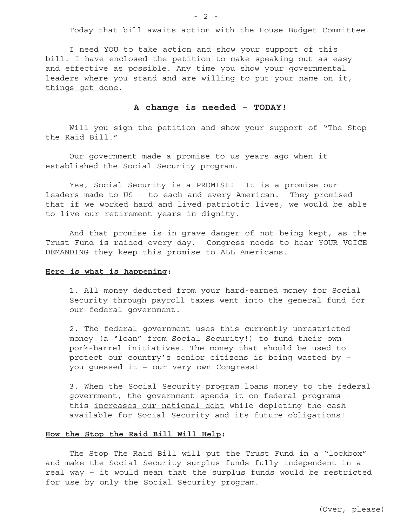Today that bill awaits action with the House Budget Committee.

I need YOU to take action and show your support of this bill. I have enclosed the petition to make speaking out as easy and effective as possible. Any time you show your governmental leaders where you stand and are willing to put your name on it, things get done.

# **A change is needed – TODAY!**

Will you sign the petition and show your support of "The Stop the Raid Bill."

Our government made a promise to us years ago when it established the Social Security program.

Yes, Social Security is a PROMISE! It is a promise our leaders made to US – to each and every American. They promised that if we worked hard and lived patriotic lives, we would be able to live our retirement years in dignity.

And that promise is in grave danger of not being kept, as the Trust Fund is raided every day. Congress needs to hear YOUR VOICE DEMANDING they keep this promise to ALL Americans.

# **Here is what is happening:**

1. All money deducted from your hard-earned money for Social Security through payroll taxes went into the general fund for our federal government.

2. The federal government uses this currently unrestricted money (a "loan" from Social Security!) to fund their own pork-barrel initiatives. The money that should be used to protect our country's senior citizens is being wasted by – you guessed it – our very own Congress!

3. When the Social Security program loans money to the federal government, the government spends it on federal programs – this increases our national debt while depleting the cash available for Social Security and its future obligations!

#### **How the Stop the Raid Bill Will Help:**

The Stop The Raid Bill will put the Trust Fund in a "lockbox" and make the Social Security surplus funds fully independent in a real way – it would mean that the surplus funds would be restricted for use by only the Social Security program.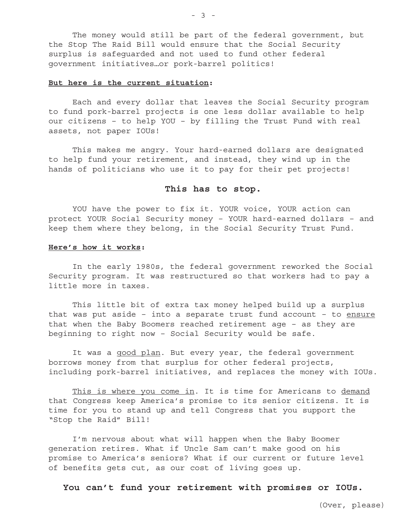The money would still be part of the federal government, but the Stop The Raid Bill would ensure that the Social Security surplus is safeguarded and not used to fund other federal government initiatives…or pork-barrel politics!

#### **But here is the current situation:**

Each and every dollar that leaves the Social Security program to fund pork-barrel projects is one less dollar available to help our citizens – to help YOU – by filling the Trust Fund with real assets, not paper IOUs!

This makes me angry. Your hard-earned dollars are designated to help fund your retirement, and instead, they wind up in the hands of politicians who use it to pay for their pet projects!

## **This has to stop.**

YOU have the power to fix it. YOUR voice, YOUR action can protect YOUR Social Security money – YOUR hard-earned dollars – and keep them where they belong, in the Social Security Trust Fund.

#### **Here's how it works:**

In the early 1980s, the federal government reworked the Social Security program. It was restructured so that workers had to pay a little more in taxes.

This little bit of extra tax money helped build up a surplus that was put aside  $-$  into a separate trust fund account  $-$  to  $ensure$ that when the Baby Boomers reached retirement age – as they are beginning to right now – Social Security would be safe.

It was a good plan. But every year, the federal government borrows money from that surplus for other federal projects, including pork-barrel initiatives, and replaces the money with IOUs.

This is where you come in. It is time for Americans to demand that Congress keep America's promise to its senior citizens. It is time for you to stand up and tell Congress that you support the "Stop the Raid" Bill!

I'm nervous about what will happen when the Baby Boomer generation retires. What if Uncle Sam can't make good on his promise to America's seniors? What if our current or future level of benefits gets cut, as our cost of living goes up.

**You can't fund your retirement with promises or IOUs.**

- 3 -